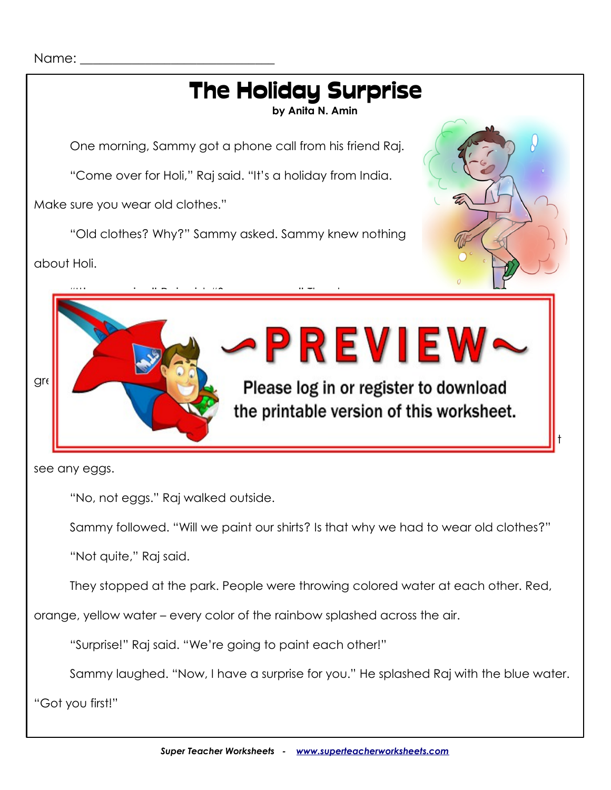Name:

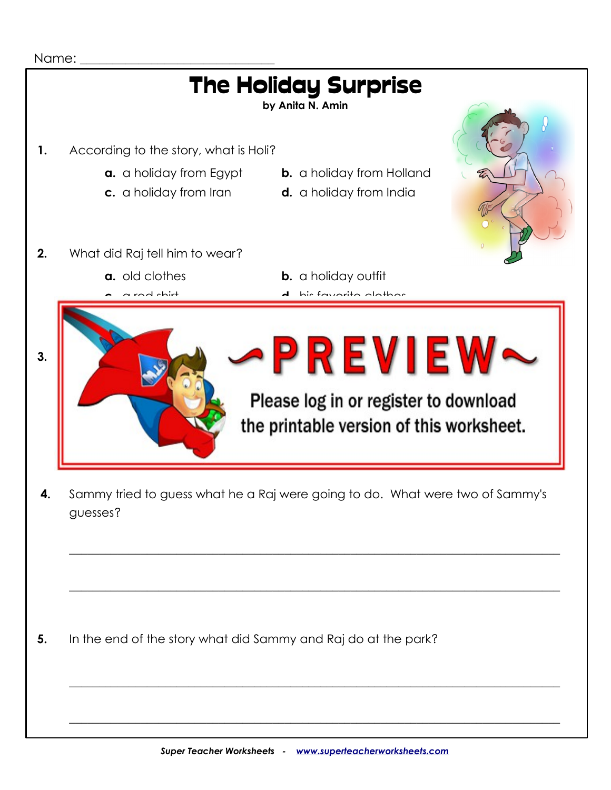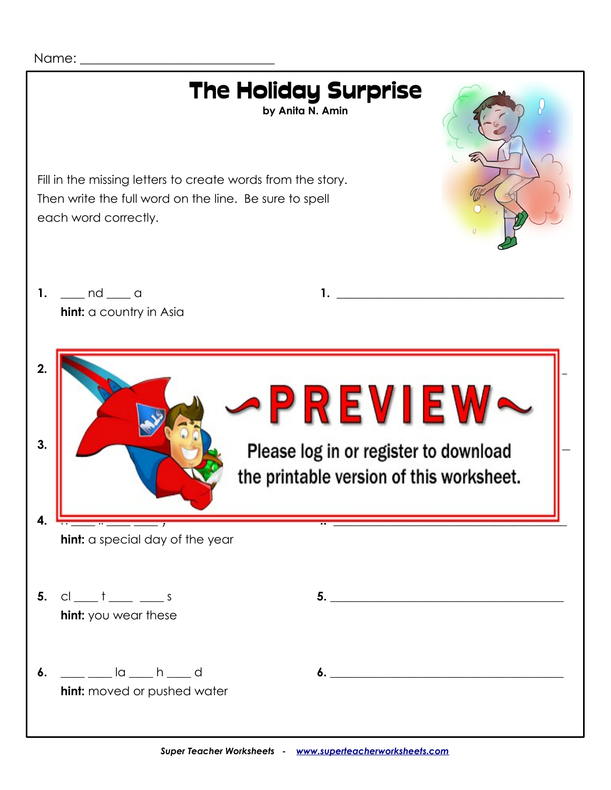Name:

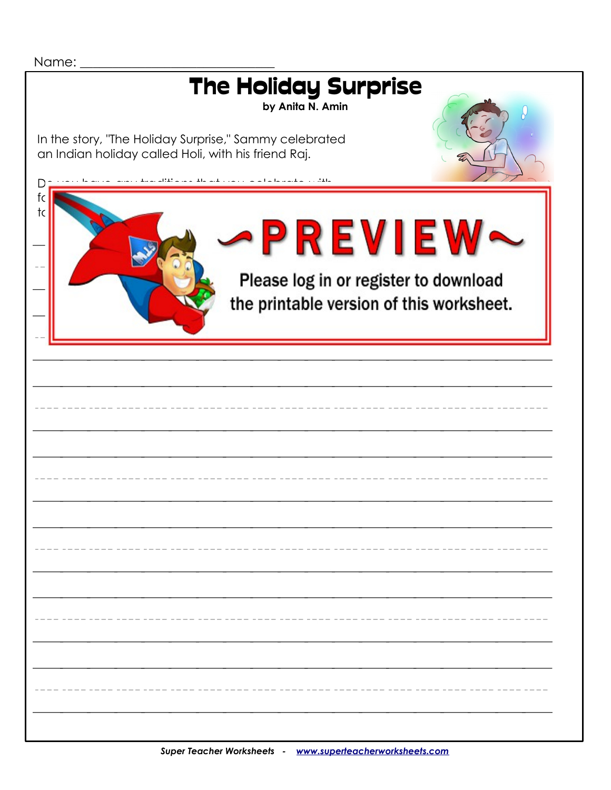Name:

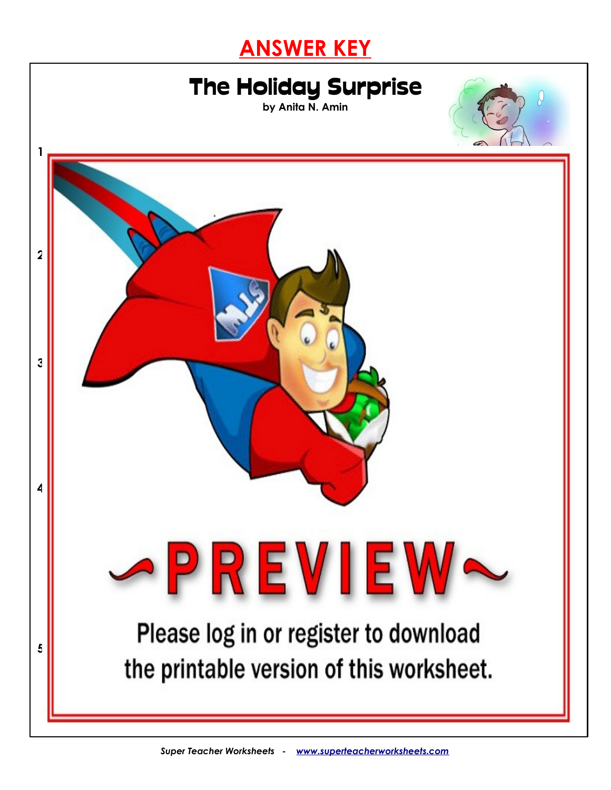## **ANSWER KEY**

## The Holiday Surprise

**by Anita N. Amin**